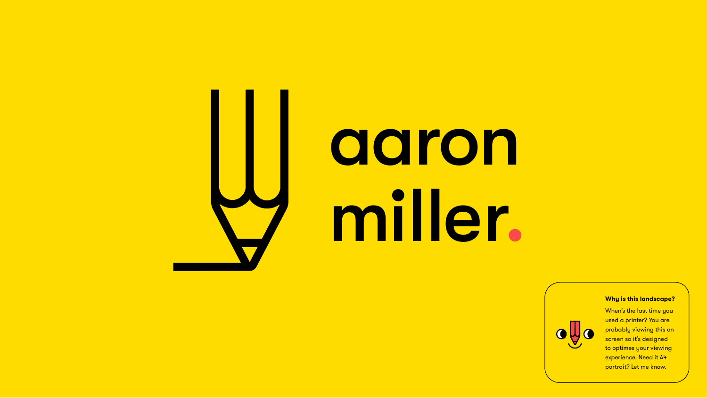# aaron miller.





#### **Why is this landscape?**

When's the last time you used a printer? You are probably viewing this on screen so it's designed to optimse your viewing experience. Need it A4 portrait? Let me know.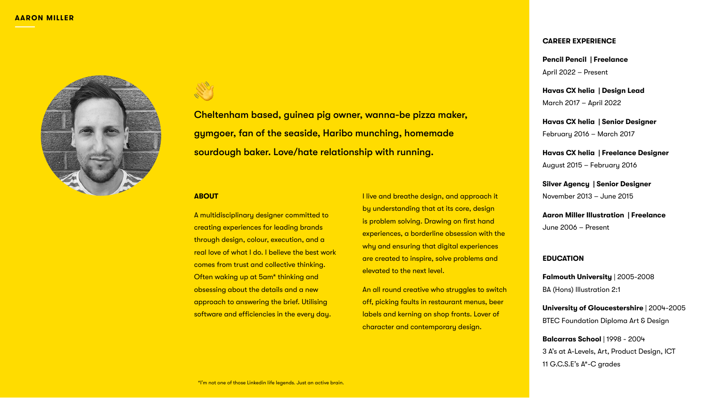A multidisciplinary designer committed to creating experiences for leading brands through design, colour, execution, and a real love of what I do. I believe the best work comes from trust and collective thinking. Often waking up at 5am\* thinking and obsessing about the details and a new approach to answering the brief. Utilising software and efficiencies in the every day.

#### **ABOUT**

I live and breathe design, and approach it by understanding that at its core, design is problem solving. Drawing on first hand experiences, a borderline obsession with the why and ensuring that digital experiences are created to inspire, solve problems and elevated to the next level.

An all round creative who struggles to switch off, picking faults in restaurant menus, beer labels and kerning on shop fronts. Lover of character and contemporary design.

# **CAREER EXPERIENCE**

**Pencil Pencil | Freelance** April 2022 – Present

**Havas CX helia | Design Lead** March 2017 – April 2022

**Havas CX helia | Senior Designer** February 2016 – March 2017

**Havas CX helia | Freelance Designer** August 2015 – February 2016

**Silver Agency | Senior Designer** November 2013 – June 2015

**Aaron Miller Illustration | Freelance** June 2006 – Present

### **EDUCATION**

**Falmouth University** | 2005-2008 BA (Hons) Illustration 2:1

**University of Gloucestershire** | 2004-2005 BTEC Foundation Diploma Art & Design

**Balcarras School** | 1998 - 2004 3 A's at A-Levels, Art, Product Design, ICT 11 G.C.S.E's A\*-C grades

Cheltenham based, guinea pig owner, wanna-be pizza maker, gymgoer, fan of the seaside, Haribo munching, homemade sourdough baker. Love/hate relationship with running.

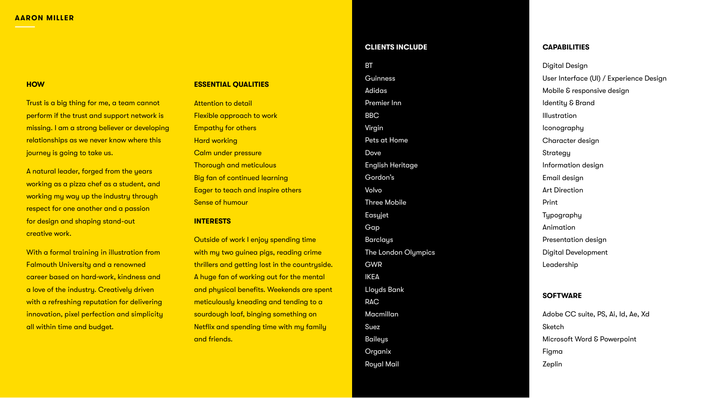# **CAPABILITIES**

Digital Design User Interface (UI) / Experience Design Mobile & responsive design Identity & Brand Illustration Iconography Character design **Strategy** Information design Email design Art Direction Print Typography Animation Presentation design Digital Development Leadership

# **SOFTWARE**

Adobe CC suite, PS, Ai, Id, Ae, Xd Sketch Microsoft Word & Powerpoint Figma Zeplin

# **CLIENTS INCLUDE**

BT **Guinness** Adidas Premier Inn BBC Virgin Pets at Home Dove English Heritage Gordon's Volvo Three Mobile Easyjet Gap Barclays The London Olympics GWR IKEA Lloyds Bank RAC Macmillan Suez Baileys Organix Royal Mail

Trust is a big thing for me, a team cannot perform if the trust and support network is missing. I am a strong believer or developing relationships as we never know where this journey is going to take us.

#### **AARON MILLER**

#### **ESSENTIAL QUALITIES**

Attention to detail Flexible approach to work Empathy for others Hard working Calm under pressure Thorough and meticulous Big fan of continued learning Eager to teach and inspire others Sense of humour

#### **INTERESTS**

Outside of work I enjoy spending time with my two guinea pigs, reading crime thrillers and getting lost in the countryside. A huge fan of working out for the mental and physical benefits. Weekends are spent meticulously kneading and tending to a sourdough loaf, binging something on Netflix and spending time with my family and friends.

#### **HOW**

A natural leader, forged from the years working as a pizza chef as a student, and working my way up the industry through respect for one another and a passion for design and shaping stand-out creative work.

With a formal training in illustration from Falmouth University and a renowned career based on hard-work, kindness and a love of the industry. Creatively driven with a refreshing reputation for delivering innovation, pixel perfection and simplicity all within time and budget.